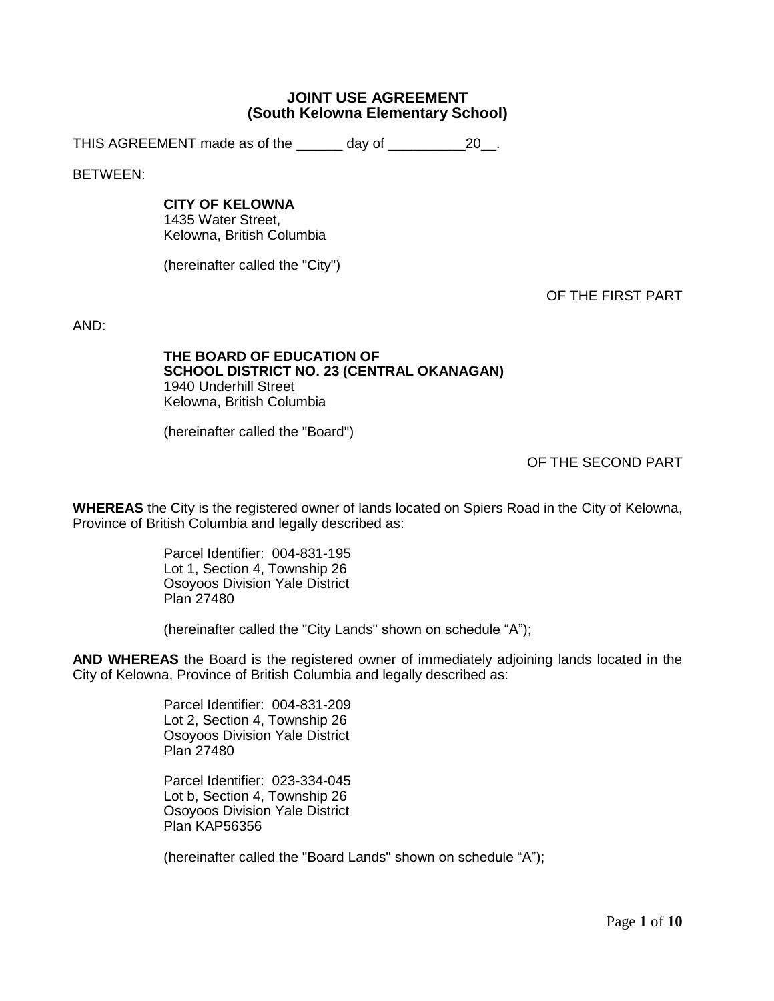# **JOINT USE AGREEMENT (South Kelowna Elementary School)**

THIS AGREEMENT made as of the \_\_\_\_\_\_ day of \_\_\_\_\_\_\_\_\_\_20\_\_.

BETWEEN:

## **CITY OF KELOWNA**

1435 Water Street, Kelowna, British Columbia

(hereinafter called the "City")

OF THE FIRST PART

AND:

#### **THE BOARD OF EDUCATION OF SCHOOL DISTRICT NO. 23 (CENTRAL OKANAGAN)** 1940 Underhill Street Kelowna, British Columbia

(hereinafter called the "Board")

OF THE SECOND PART

**WHEREAS** the City is the registered owner of lands located on Spiers Road in the City of Kelowna, Province of British Columbia and legally described as:

> Parcel Identifier: 004-831-195 Lot 1, Section 4, Township 26 Osoyoos Division Yale District Plan 27480

(hereinafter called the "City Lands" shown on schedule "A");

**AND WHEREAS** the Board is the registered owner of immediately adjoining lands located in the City of Kelowna, Province of British Columbia and legally described as:

> Parcel Identifier: 004-831-209 Lot 2, Section 4, Township 26 Osoyoos Division Yale District Plan 27480

> Parcel Identifier: 023-334-045 Lot b, Section 4, Township 26 Osoyoos Division Yale District Plan KAP56356

(hereinafter called the "Board Lands" shown on schedule "A");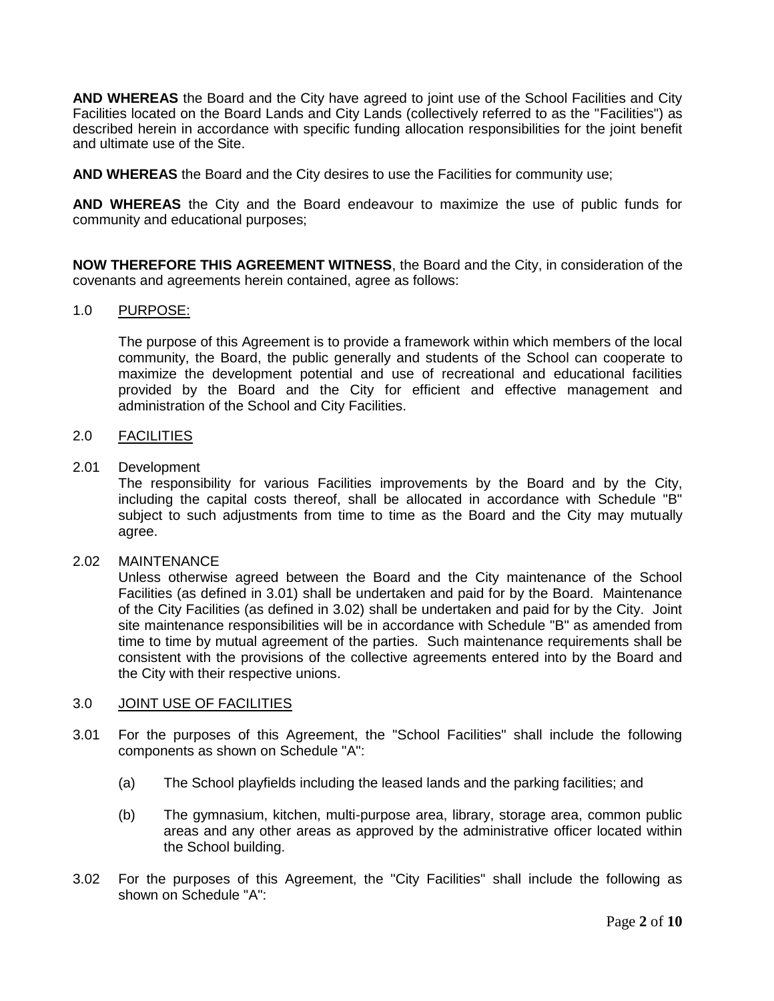**AND WHEREAS** the Board and the City have agreed to joint use of the School Facilities and City Facilities located on the Board Lands and City Lands (collectively referred to as the "Facilities") as described herein in accordance with specific funding allocation responsibilities for the joint benefit and ultimate use of the Site.

**AND WHEREAS** the Board and the City desires to use the Facilities for community use;

**AND WHEREAS** the City and the Board endeavour to maximize the use of public funds for community and educational purposes;

**NOW THEREFORE THIS AGREEMENT WITNESS**, the Board and the City, in consideration of the covenants and agreements herein contained, agree as follows:

# 1.0 PURPOSE:

The purpose of this Agreement is to provide a framework within which members of the local community, the Board, the public generally and students of the School can cooperate to maximize the development potential and use of recreational and educational facilities provided by the Board and the City for efficient and effective management and administration of the School and City Facilities.

## 2.0 FACILITIES

#### 2.01 Development

The responsibility for various Facilities improvements by the Board and by the City, including the capital costs thereof, shall be allocated in accordance with Schedule "B" subject to such adjustments from time to time as the Board and the City may mutually agree.

## 2.02 MAINTENANCE

Unless otherwise agreed between the Board and the City maintenance of the School Facilities (as defined in 3.01) shall be undertaken and paid for by the Board. Maintenance of the City Facilities (as defined in 3.02) shall be undertaken and paid for by the City. Joint site maintenance responsibilities will be in accordance with Schedule "B" as amended from time to time by mutual agreement of the parties. Such maintenance requirements shall be consistent with the provisions of the collective agreements entered into by the Board and the City with their respective unions.

## 3.0 JOINT USE OF FACILITIES

- 3.01 For the purposes of this Agreement, the "School Facilities" shall include the following components as shown on Schedule "A":
	- (a) The School playfields including the leased lands and the parking facilities; and
	- (b) The gymnasium, kitchen, multi-purpose area, library, storage area, common public areas and any other areas as approved by the administrative officer located within the School building.
- 3.02 For the purposes of this Agreement, the "City Facilities" shall include the following as shown on Schedule "A":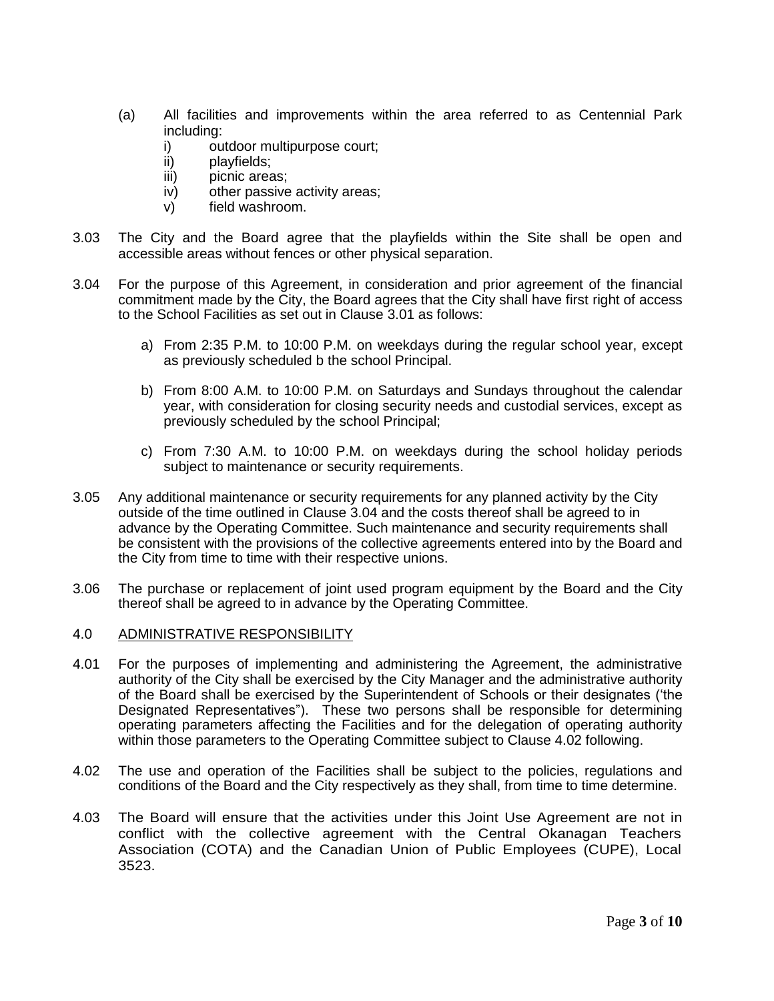- (a) All facilities and improvements within the area referred to as Centennial Park including:
	- i) outdoor multipurpose court;<br>ii) playfields:
	- playfields:
	- iii) picnic areas:
	- iv) other passive activity areas;
	- v) field washroom.
- 3.03 The City and the Board agree that the playfields within the Site shall be open and accessible areas without fences or other physical separation.
- 3.04 For the purpose of this Agreement, in consideration and prior agreement of the financial commitment made by the City, the Board agrees that the City shall have first right of access to the School Facilities as set out in Clause 3.01 as follows:
	- a) From 2:35 P.M. to 10:00 P.M. on weekdays during the regular school year, except as previously scheduled b the school Principal.
	- b) From 8:00 A.M. to 10:00 P.M. on Saturdays and Sundays throughout the calendar year, with consideration for closing security needs and custodial services, except as previously scheduled by the school Principal;
	- c) From 7:30 A.M. to 10:00 P.M. on weekdays during the school holiday periods subject to maintenance or security requirements.
- 3.05 Any additional maintenance or security requirements for any planned activity by the City outside of the time outlined in Clause 3.04 and the costs thereof shall be agreed to in advance by the Operating Committee. Such maintenance and security requirements shall be consistent with the provisions of the collective agreements entered into by the Board and the City from time to time with their respective unions.
- 3.06 The purchase or replacement of joint used program equipment by the Board and the City thereof shall be agreed to in advance by the Operating Committee.
- 4.0 ADMINISTRATIVE RESPONSIBILITY
- 4.01 For the purposes of implementing and administering the Agreement, the administrative authority of the City shall be exercised by the City Manager and the administrative authority of the Board shall be exercised by the Superintendent of Schools or their designates ('the Designated Representatives"). These two persons shall be responsible for determining operating parameters affecting the Facilities and for the delegation of operating authority within those parameters to the Operating Committee subject to Clause 4.02 following.
- 4.02 The use and operation of the Facilities shall be subject to the policies, regulations and conditions of the Board and the City respectively as they shall, from time to time determine.
- 4.03 The Board will ensure that the activities under this Joint Use Agreement are not in conflict with the collective agreement with the Central Okanagan Teachers Association (COTA) and the Canadian Union of Public Employees (CUPE), Local 3523.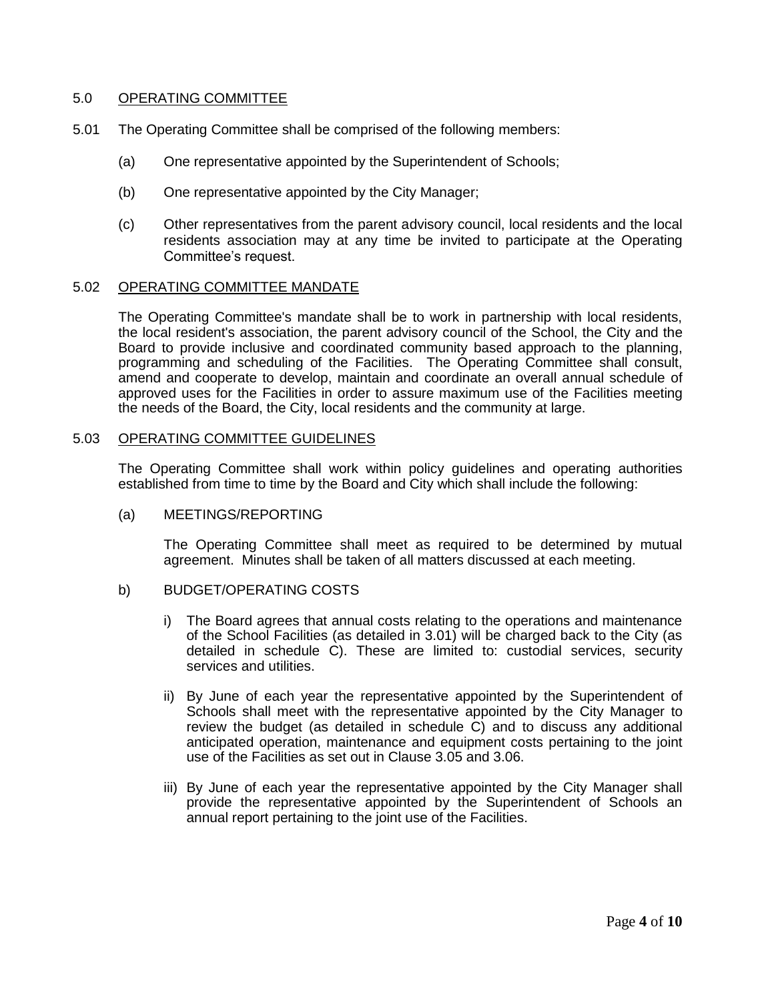## 5.0 OPERATING COMMITTEE

- 5.01 The Operating Committee shall be comprised of the following members:
	- (a) One representative appointed by the Superintendent of Schools;
	- (b) One representative appointed by the City Manager;
	- (c) Other representatives from the parent advisory council, local residents and the local residents association may at any time be invited to participate at the Operating Committee's request.

## 5.02 OPERATING COMMITTEE MANDATE

The Operating Committee's mandate shall be to work in partnership with local residents, the local resident's association, the parent advisory council of the School, the City and the Board to provide inclusive and coordinated community based approach to the planning, programming and scheduling of the Facilities. The Operating Committee shall consult, amend and cooperate to develop, maintain and coordinate an overall annual schedule of approved uses for the Facilities in order to assure maximum use of the Facilities meeting the needs of the Board, the City, local residents and the community at large.

## 5.03 OPERATING COMMITTEE GUIDELINES

The Operating Committee shall work within policy guidelines and operating authorities established from time to time by the Board and City which shall include the following:

## (a) MEETINGS/REPORTING

The Operating Committee shall meet as required to be determined by mutual agreement. Minutes shall be taken of all matters discussed at each meeting.

- b) BUDGET/OPERATING COSTS
	- i) The Board agrees that annual costs relating to the operations and maintenance of the School Facilities (as detailed in 3.01) will be charged back to the City (as detailed in schedule C). These are limited to: custodial services, security services and utilities.
	- ii) By June of each year the representative appointed by the Superintendent of Schools shall meet with the representative appointed by the City Manager to review the budget (as detailed in schedule C) and to discuss any additional anticipated operation, maintenance and equipment costs pertaining to the joint use of the Facilities as set out in Clause 3.05 and 3.06.
	- iii) By June of each year the representative appointed by the City Manager shall provide the representative appointed by the Superintendent of Schools an annual report pertaining to the joint use of the Facilities.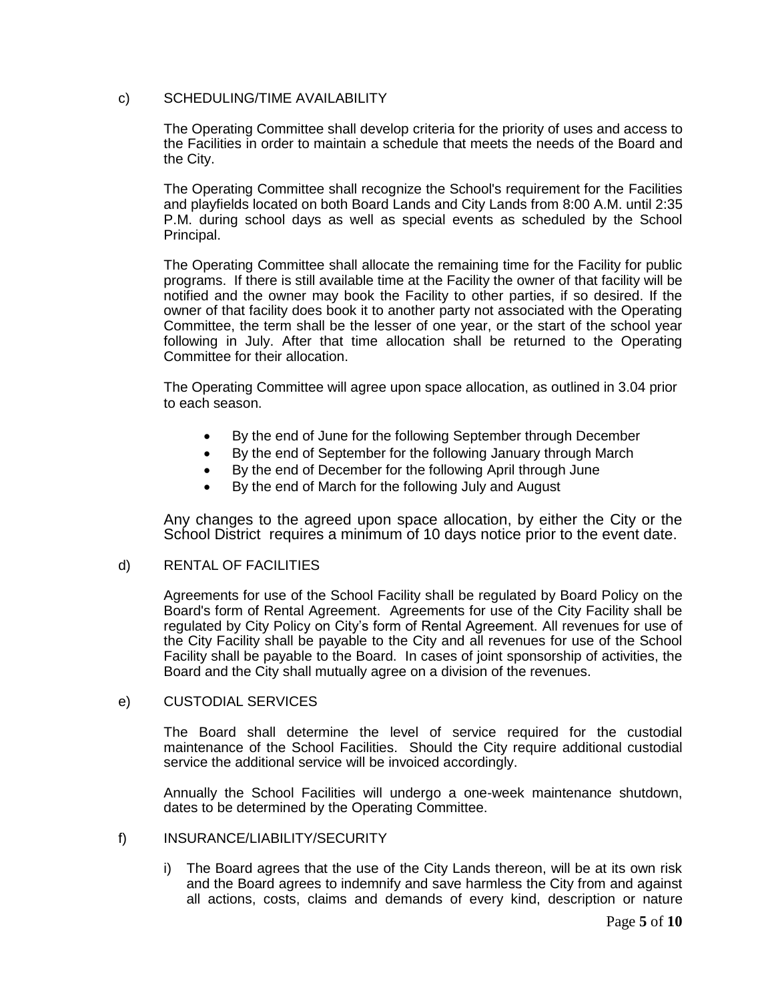## c) SCHEDULING/TIME AVAILABILITY

The Operating Committee shall develop criteria for the priority of uses and access to the Facilities in order to maintain a schedule that meets the needs of the Board and the City.

The Operating Committee shall recognize the School's requirement for the Facilities and playfields located on both Board Lands and City Lands from 8:00 A.M. until 2:35 P.M. during school days as well as special events as scheduled by the School Principal.

The Operating Committee shall allocate the remaining time for the Facility for public programs. If there is still available time at the Facility the owner of that facility will be notified and the owner may book the Facility to other parties, if so desired. If the owner of that facility does book it to another party not associated with the Operating Committee, the term shall be the lesser of one year, or the start of the school year following in July. After that time allocation shall be returned to the Operating Committee for their allocation.

The Operating Committee will agree upon space allocation, as outlined in 3.04 prior to each season.

- By the end of June for the following September through December
- By the end of September for the following January through March
- By the end of December for the following April through June
- By the end of March for the following July and August

Any changes to the agreed upon space allocation, by either the City or the School District requires a minimum of 10 days notice prior to the event date.

## d) RENTAL OF FACILITIES

Agreements for use of the School Facility shall be regulated by Board Policy on the Board's form of Rental Agreement. Agreements for use of the City Facility shall be regulated by City Policy on City's form of Rental Agreement. All revenues for use of the City Facility shall be payable to the City and all revenues for use of the School Facility shall be payable to the Board. In cases of joint sponsorship of activities, the Board and the City shall mutually agree on a division of the revenues.

## e) CUSTODIAL SERVICES

The Board shall determine the level of service required for the custodial maintenance of the School Facilities. Should the City require additional custodial service the additional service will be invoiced accordingly.

Annually the School Facilities will undergo a one-week maintenance shutdown, dates to be determined by the Operating Committee.

# f) INSURANCE/LIABILITY/SECURITY

i) The Board agrees that the use of the City Lands thereon, will be at its own risk and the Board agrees to indemnify and save harmless the City from and against all actions, costs, claims and demands of every kind, description or nature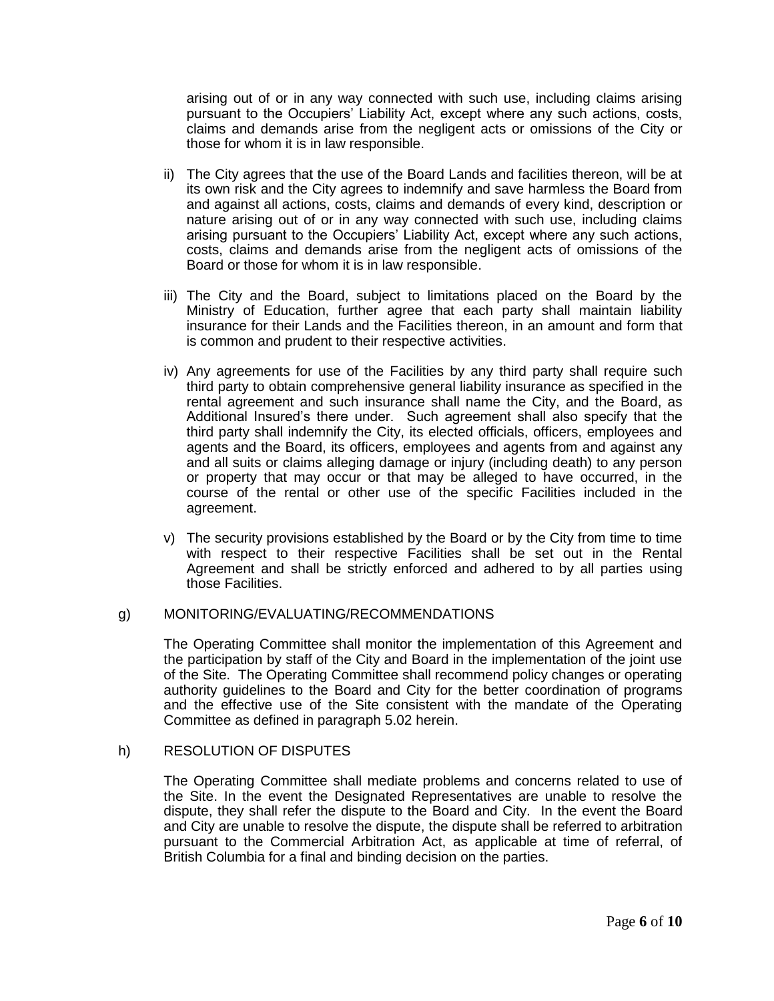arising out of or in any way connected with such use, including claims arising pursuant to the Occupiers' Liability Act, except where any such actions, costs, claims and demands arise from the negligent acts or omissions of the City or those for whom it is in law responsible.

- ii) The City agrees that the use of the Board Lands and facilities thereon, will be at its own risk and the City agrees to indemnify and save harmless the Board from and against all actions, costs, claims and demands of every kind, description or nature arising out of or in any way connected with such use, including claims arising pursuant to the Occupiers' Liability Act, except where any such actions, costs, claims and demands arise from the negligent acts of omissions of the Board or those for whom it is in law responsible.
- iii) The City and the Board, subject to limitations placed on the Board by the Ministry of Education, further agree that each party shall maintain liability insurance for their Lands and the Facilities thereon, in an amount and form that is common and prudent to their respective activities.
- iv) Any agreements for use of the Facilities by any third party shall require such third party to obtain comprehensive general liability insurance as specified in the rental agreement and such insurance shall name the City, and the Board, as Additional Insured's there under. Such agreement shall also specify that the third party shall indemnify the City, its elected officials, officers, employees and agents and the Board, its officers, employees and agents from and against any and all suits or claims alleging damage or injury (including death) to any person or property that may occur or that may be alleged to have occurred, in the course of the rental or other use of the specific Facilities included in the agreement.
- v) The security provisions established by the Board or by the City from time to time with respect to their respective Facilities shall be set out in the Rental Agreement and shall be strictly enforced and adhered to by all parties using those Facilities.

## g) MONITORING/EVALUATING/RECOMMENDATIONS

The Operating Committee shall monitor the implementation of this Agreement and the participation by staff of the City and Board in the implementation of the joint use of the Site. The Operating Committee shall recommend policy changes or operating authority guidelines to the Board and City for the better coordination of programs and the effective use of the Site consistent with the mandate of the Operating Committee as defined in paragraph 5.02 herein.

## h) RESOLUTION OF DISPUTES

The Operating Committee shall mediate problems and concerns related to use of the Site. In the event the Designated Representatives are unable to resolve the dispute, they shall refer the dispute to the Board and City. In the event the Board and City are unable to resolve the dispute, the dispute shall be referred to arbitration pursuant to the Commercial Arbitration Act, as applicable at time of referral, of British Columbia for a final and binding decision on the parties.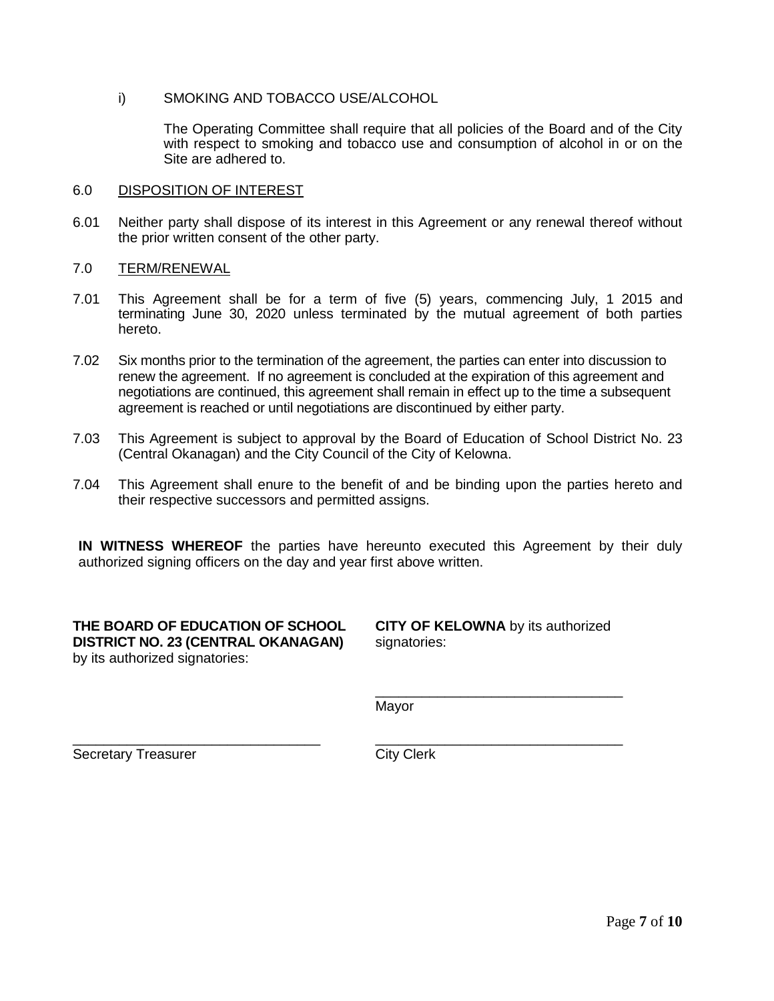i) SMOKING AND TOBACCO USE/ALCOHOL

The Operating Committee shall require that all policies of the Board and of the City with respect to smoking and tobacco use and consumption of alcohol in or on the Site are adhered to.

#### 6.0 DISPOSITION OF INTEREST

6.01 Neither party shall dispose of its interest in this Agreement or any renewal thereof without the prior written consent of the other party.

#### 7.0 TERM/RENEWAL

- 7.01 This Agreement shall be for a term of five (5) years, commencing July, 1 2015 and terminating June 30, 2020 unless terminated by the mutual agreement of both parties hereto.
- 7.02 Six months prior to the termination of the agreement, the parties can enter into discussion to renew the agreement. If no agreement is concluded at the expiration of this agreement and negotiations are continued, this agreement shall remain in effect up to the time a subsequent agreement is reached or until negotiations are discontinued by either party.
- 7.03 This Agreement is subject to approval by the Board of Education of School District No. 23 (Central Okanagan) and the City Council of the City of Kelowna.
- 7.04 This Agreement shall enure to the benefit of and be binding upon the parties hereto and their respective successors and permitted assigns.

**IN WITNESS WHEREOF** the parties have hereunto executed this Agreement by their duly authorized signing officers on the day and year first above written.

**THE BOARD OF EDUCATION OF SCHOOL DISTRICT NO. 23 (CENTRAL OKANAGAN)** by its authorized signatories:

\_\_\_\_\_\_\_\_\_\_\_\_\_\_\_\_\_\_\_\_\_\_\_\_\_\_\_\_\_\_\_\_

**CITY OF KELOWNA** by its authorized signatories:

\_\_\_\_\_\_\_\_\_\_\_\_\_\_\_\_\_\_\_\_\_\_\_\_\_\_\_\_\_\_\_\_

\_\_\_\_\_\_\_\_\_\_\_\_\_\_\_\_\_\_\_\_\_\_\_\_\_\_\_\_\_\_\_\_

Mayor

Secretary Treasurer

City Clerk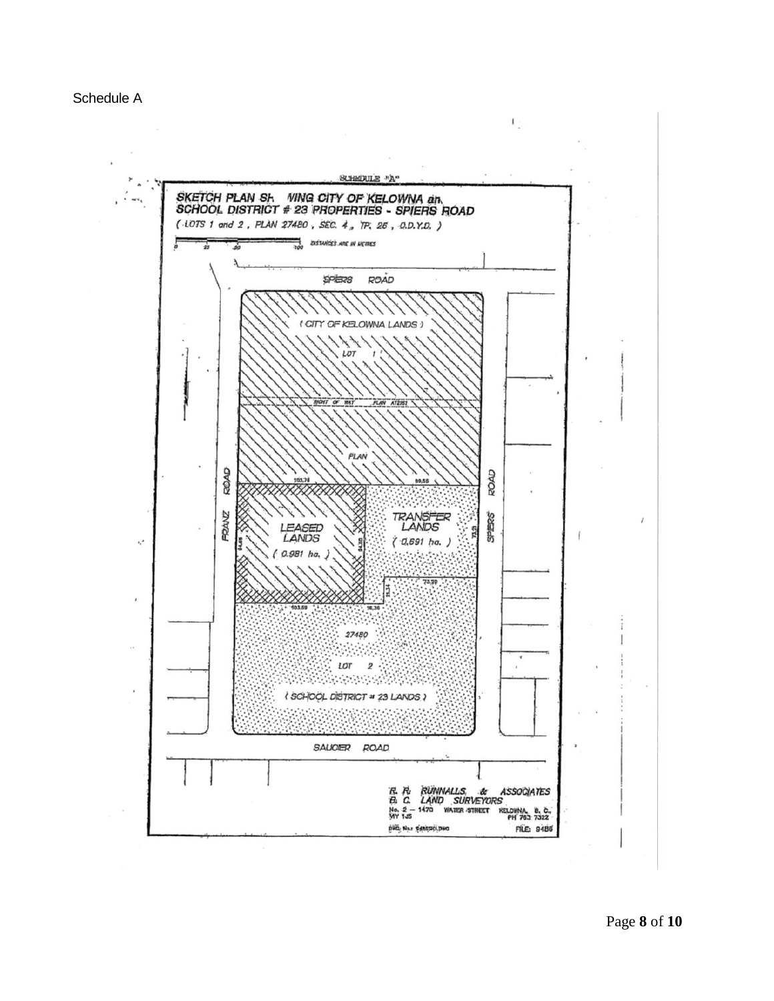

Page **8** of **10**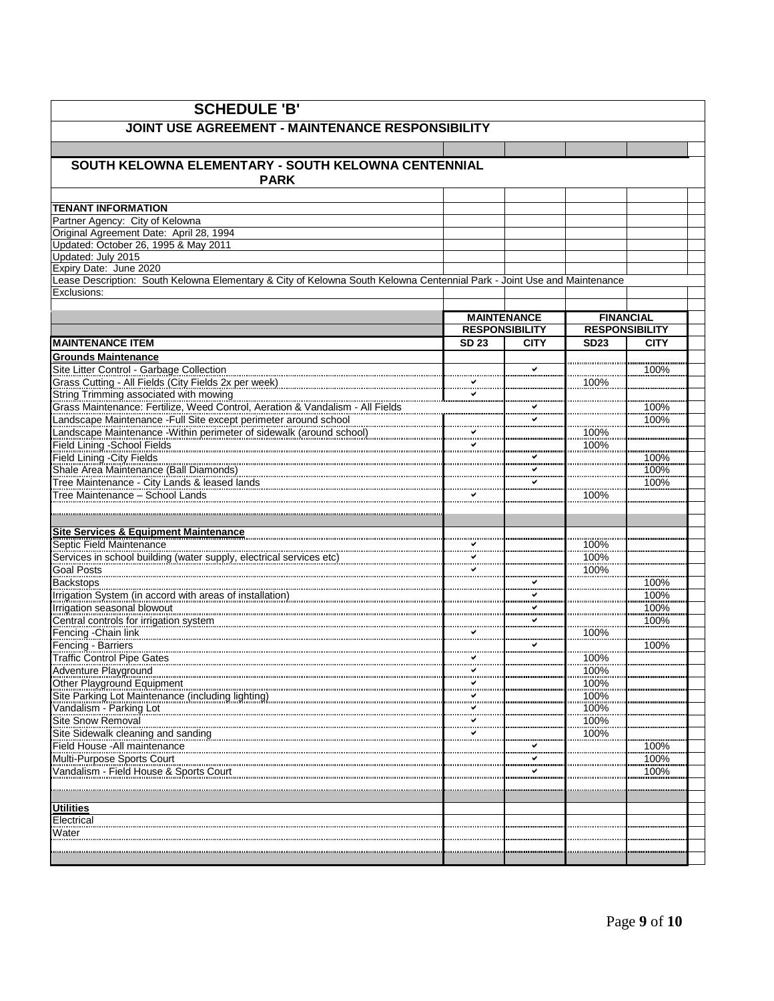| <b>SCHEDULE 'B'</b>                                                                                                                                                    |                                             |              |                                           |              |  |  |
|------------------------------------------------------------------------------------------------------------------------------------------------------------------------|---------------------------------------------|--------------|-------------------------------------------|--------------|--|--|
| JOINT USE AGREEMENT - MAINTENANCE RESPONSIBILITY                                                                                                                       |                                             |              |                                           |              |  |  |
|                                                                                                                                                                        |                                             |              |                                           |              |  |  |
| SOUTH KELOWNA ELEMENTARY - SOUTH KELOWNA CENTENNIAL                                                                                                                    |                                             |              |                                           |              |  |  |
| <b>PARK</b>                                                                                                                                                            |                                             |              |                                           |              |  |  |
|                                                                                                                                                                        |                                             |              |                                           |              |  |  |
| <b>TENANT INFORMATION</b><br>Partner Agency: City of Kelowna                                                                                                           |                                             |              |                                           |              |  |  |
| Original Agreement Date: April 28, 1994                                                                                                                                |                                             |              |                                           |              |  |  |
| Updated: October 26, 1995 & May 2011                                                                                                                                   |                                             |              |                                           |              |  |  |
| Updated: July 2015<br>Expiry Date: June 2020                                                                                                                           |                                             |              |                                           |              |  |  |
| Lease Description: South Kelowna Elementary & City of Kelowna South Kelowna Centennial Park - Joint Use and Maintenance                                                |                                             |              |                                           |              |  |  |
| Exclusions:                                                                                                                                                            |                                             |              |                                           |              |  |  |
|                                                                                                                                                                        |                                             |              |                                           |              |  |  |
|                                                                                                                                                                        | <b>MAINTENANCE</b><br><b>RESPONSIBILITY</b> |              | <b>FINANCIAL</b><br><b>RESPONSIBILITY</b> |              |  |  |
| <b>MAINTENANCE ITEM</b>                                                                                                                                                | <b>SD 23</b>                                | <b>CITY</b>  | <b>SD23</b>                               | <b>CITY</b>  |  |  |
| <b>Grounds Maintenance</b>                                                                                                                                             |                                             |              |                                           |              |  |  |
| Site Litter Control - Garbage Collection                                                                                                                               |                                             | $\checkmark$ |                                           | 100%         |  |  |
| Grass Cutting - All Fields (City Fields 2x per week)<br>Grass Cutting - All Fields (City Fields 2x per week)                                                           |                                             |              | 100%                                      |              |  |  |
| String Trimming associated with mowing                                                                                                                                 |                                             |              |                                           |              |  |  |
| Grass Maintenance: Fertilize, Weed Control, Aeration & Vandalism - All Fields                                                                                          |                                             | ✔            |                                           | 100%<br>100% |  |  |
| Landscape Maintenance -Full Site except perimeter around school<br>Landscape Maintenance -Within perimeter of sidewalk (around school)                                 |                                             |              | 100%                                      |              |  |  |
| <b>Field Lining -School Fields</b>                                                                                                                                     |                                             |              | 100%                                      |              |  |  |
| <b>Field Lining - City Fields</b>                                                                                                                                      |                                             |              |                                           | 100%         |  |  |
| Shale Area Maintenance (Ball Diamonds)                                                                                                                                 |                                             | ✓            |                                           | 100%         |  |  |
| Tree Maintenance - City Lands & leased lands                                                                                                                           |                                             |              |                                           | 100%         |  |  |
| Tree Maintenance - School Lands                                                                                                                                        |                                             |              | 100%                                      |              |  |  |
|                                                                                                                                                                        |                                             |              |                                           |              |  |  |
| Site Services & Equipment Maintenance                                                                                                                                  |                                             |              |                                           |              |  |  |
| Septic Field Maintenance<br>Services in school building (water supply, electrical services etc)<br>Services in school building (water supply, electrical services etc) |                                             |              | 100%                                      |              |  |  |
| Goal Posts                                                                                                                                                             |                                             |              | 100%<br>100%                              |              |  |  |
| <b>Backstops</b>                                                                                                                                                       |                                             | ✓            |                                           | 100%         |  |  |
| Irrigation System (in accord with areas of installation)                                                                                                               |                                             | .            |                                           | 100%         |  |  |
| Irrigation seasonal blowout                                                                                                                                            |                                             |              |                                           | 100%         |  |  |
|                                                                                                                                                                        |                                             | ✓<br>.       |                                           | 100%         |  |  |
| Fencing - Chain link<br>Fencing - Barriers                                                                                                                             |                                             | $\checkmark$ | 100%                                      | 100%         |  |  |
| <b>Traffic Control Pipe Gates</b>                                                                                                                                      |                                             |              | 100%                                      |              |  |  |
| Adventure Playground                                                                                                                                                   |                                             |              | 100%                                      |              |  |  |
| Other Playground Equipment                                                                                                                                             |                                             |              | 100%                                      |              |  |  |
| Site Parking Lot Maintenance (including lighting)                                                                                                                      |                                             |              | 100%                                      |              |  |  |
| Vandalism - Parking Lot<br>Site Snow Removal                                                                                                                           | ✓                                           |              | 100%<br>100%                              |              |  |  |
| Site Sidewalk cleaning and sanding                                                                                                                                     |                                             |              | 100%                                      |              |  |  |
| Field House - All maintenance                                                                                                                                          |                                             |              |                                           | 100%         |  |  |
| Multi-Purpose Sports Court                                                                                                                                             |                                             | ✓            |                                           | 100%         |  |  |
| Vandalism - Field House & Sports Court                                                                                                                                 |                                             | ✔            |                                           | 100%         |  |  |
|                                                                                                                                                                        |                                             |              |                                           |              |  |  |
| <b>Utilities</b>                                                                                                                                                       |                                             |              |                                           |              |  |  |
| Electrical                                                                                                                                                             |                                             |              |                                           |              |  |  |
| Water                                                                                                                                                                  |                                             |              |                                           |              |  |  |
|                                                                                                                                                                        |                                             |              |                                           |              |  |  |
|                                                                                                                                                                        |                                             |              |                                           |              |  |  |